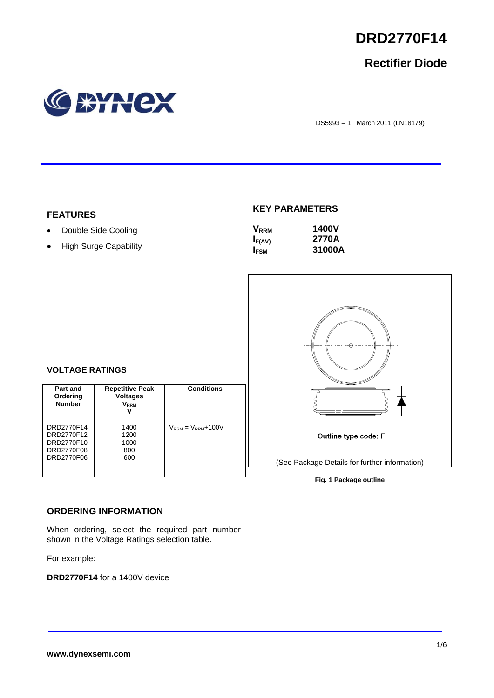

# **Rectifier Diode**



DS5993 – 1 March 2011 (LN18179)

## **FEATURES**

- Double Side Cooling
- High Surge Capability

# **KEY PARAMETERS**

| $\mathsf{V}_{\mathsf{RRM}}$ | <b>1400V</b> |
|-----------------------------|--------------|
| $I_{F(AV)}$                 | 2770A        |
| I <sub>FSM</sub>            | 31000A       |



### **Fig. 1 Package outline**

## **VOLTAGE RATINGS**

| Part and<br>Ordering<br><b>Number</b>                              | <b>Repetitive Peak</b><br><b>Voltages</b><br>V <sub>rrm</sub><br>v | <b>Conditions</b>                        |
|--------------------------------------------------------------------|--------------------------------------------------------------------|------------------------------------------|
| DRD2770F14<br>DRD2770F12<br>DRD2770F10<br>DRD2770F08<br>DRD2770F06 | 1400<br>1200<br>1000<br>800<br>600                                 | $V_{\text{RSM}} = V_{\text{RRM}} + 100V$ |

# **ORDERING INFORMATION**

When ordering, select the required part number shown in the Voltage Ratings selection table.

For example:

**DRD2770F14** for a 1400V device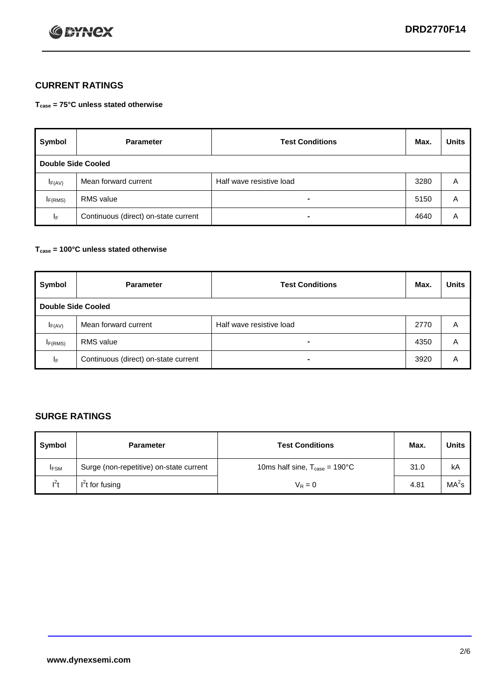

# **CURRENT RATINGS**

**Tcase = 75°C unless stated otherwise**

| Symbol             | <b>Parameter</b>                     | <b>Test Conditions</b>   | Max. | <b>Units</b> |  |
|--------------------|--------------------------------------|--------------------------|------|--------------|--|
| Double Side Cooled |                                      |                          |      |              |  |
| $I_{F(AV)}$        | Mean forward current                 | Half wave resistive load | 3280 | A            |  |
| IF(RMS)            | <b>RMS</b> value                     | $\blacksquare$           | 5150 | A            |  |
| IF.                | Continuous (direct) on-state current | -                        | 4640 | Α            |  |

### **Tcase = 100°C unless stated otherwise**

| Symbol                    | <b>Parameter</b>                     | <b>Test Conditions</b>   | Max. | <b>Units</b> |  |
|---------------------------|--------------------------------------|--------------------------|------|--------------|--|
| <b>Double Side Cooled</b> |                                      |                          |      |              |  |
| $I_{F(AV)}$               | Mean forward current                 | Half wave resistive load | 2770 | Α            |  |
| I <sub>F(RMS)</sub>       | <b>RMS</b> value                     | $\blacksquare$           | 4350 | A            |  |
| ΙF                        | Continuous (direct) on-state current | ۰                        | 3920 | A            |  |

# **SURGE RATINGS**

| Symbol      | <b>Parameter</b>                        | <b>Test Conditions</b>                            | Max. | <b>Units</b> |
|-------------|-----------------------------------------|---------------------------------------------------|------|--------------|
| <b>IFSM</b> | Surge (non-repetitive) on-state current | 10ms half sine, $T_{\text{case}} = 190^{\circ}$ C | 31.0 | kA           |
| $I^2t$      | I't for fusing                          | $V_R = 0$                                         | 4.81 | $MA^2s$      |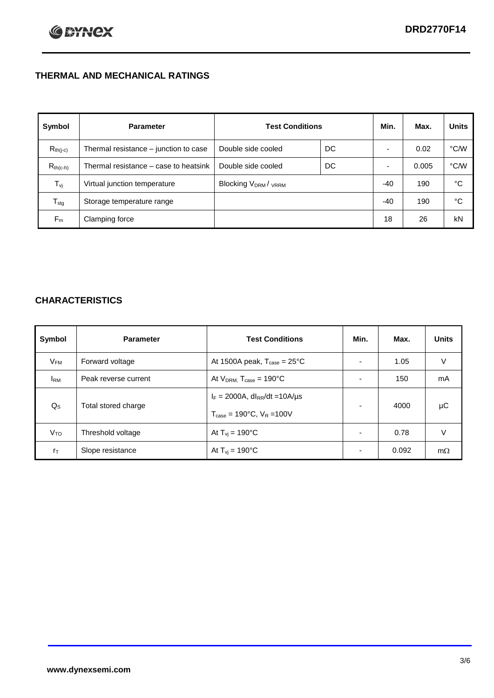# **THERMAL AND MECHANICAL RATINGS**

| Symbol           | <b>Parameter</b>                      | <b>Test Conditions</b>                      |    | Min.  | Max.  | <b>Units</b> |
|------------------|---------------------------------------|---------------------------------------------|----|-------|-------|--------------|
| $R_{th(j-c)}$    | Thermal resistance - junction to case | Double side cooled                          | DC |       | 0.02  | °C/W         |
| $R_{th(c-h)}$    | Thermal resistance – case to heatsink | Double side cooled                          | DC |       | 0.005 | °C/W         |
| $T_{\rm vj}$     | Virtual junction temperature          | Blocking V <sub>DRM</sub> / <sub>VRRM</sub> |    | -40   | 190   | °C           |
| $T_{\text{stg}}$ | Storage temperature range             |                                             |    | $-40$ | 190   | °C           |
| $F_m$            | Clamping force                        |                                             |    | 18    | 26    | kN           |

# **CHARACTERISTICS**

| Symbol                   | <b>Parameter</b>     | <b>Test Conditions</b>                                                                           | Min.           | Max.  | <b>Units</b> |
|--------------------------|----------------------|--------------------------------------------------------------------------------------------------|----------------|-------|--------------|
| $\mathsf{V}_\mathsf{FM}$ | Forward voltage      | At 1500A peak, $T_{\text{case}} = 25^{\circ}C$                                                   |                | 1.05  | V            |
| <b>I</b> <sub>RM</sub>   | Peak reverse current | At $V_{DRM}$ , $T_{case} = 190^{\circ}C$                                                         | ۰              | 150   | mA           |
| $Q_{\rm S}$              | Total stored charge  | $I_F = 2000A$ , dl <sub>RR</sub> /dt = 10A/us<br>$T_{\text{case}} = 190^{\circ}$ C. $V_R = 100V$ | $\blacksquare$ | 4000  | μC           |
| V <sub>TO</sub>          | Threshold voltage    | At $T_{vi} = 190^{\circ}$ C                                                                      | $\blacksquare$ | 0.78  | V            |
| $r_{\text{T}}$           | Slope resistance     | At $T_{vi} = 190^{\circ}$ C                                                                      | ۰              | 0.092 | $m\Omega$    |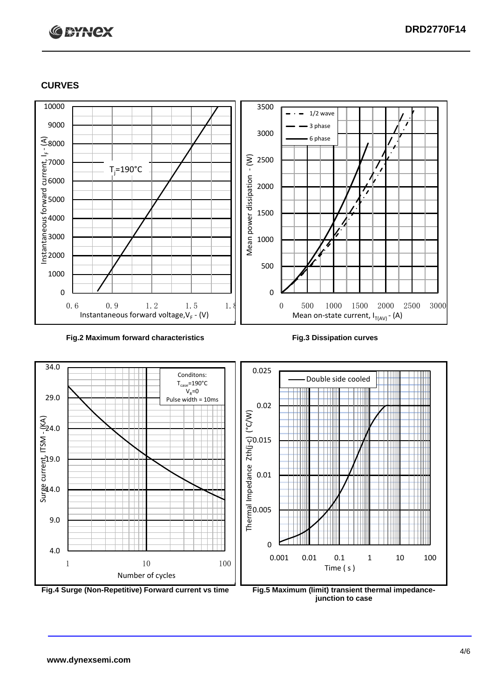# **C BYNCX**

# **CURVES**



#### **Fig.2 Maximum forward characteristics Fig.3 Dissipation curves**



**junction to case**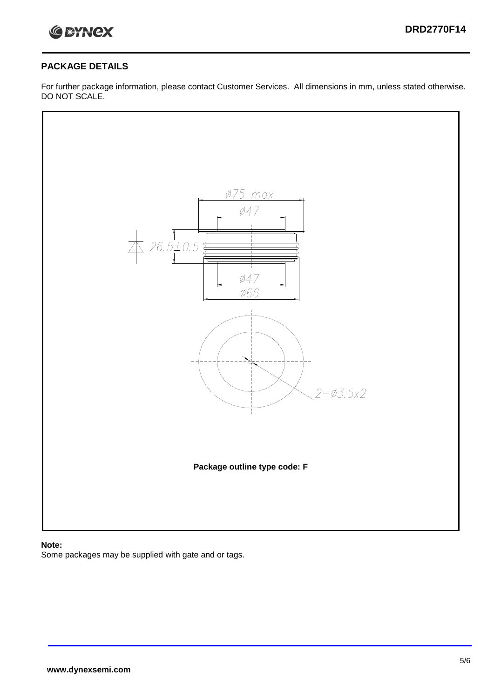

# **PACKAGE DETAILS**

For further package information, please contact Customer Services. All dimensions in mm, unless stated otherwise. DO NOT SCALE.



## **Note:**

Some packages may be supplied with gate and or tags.